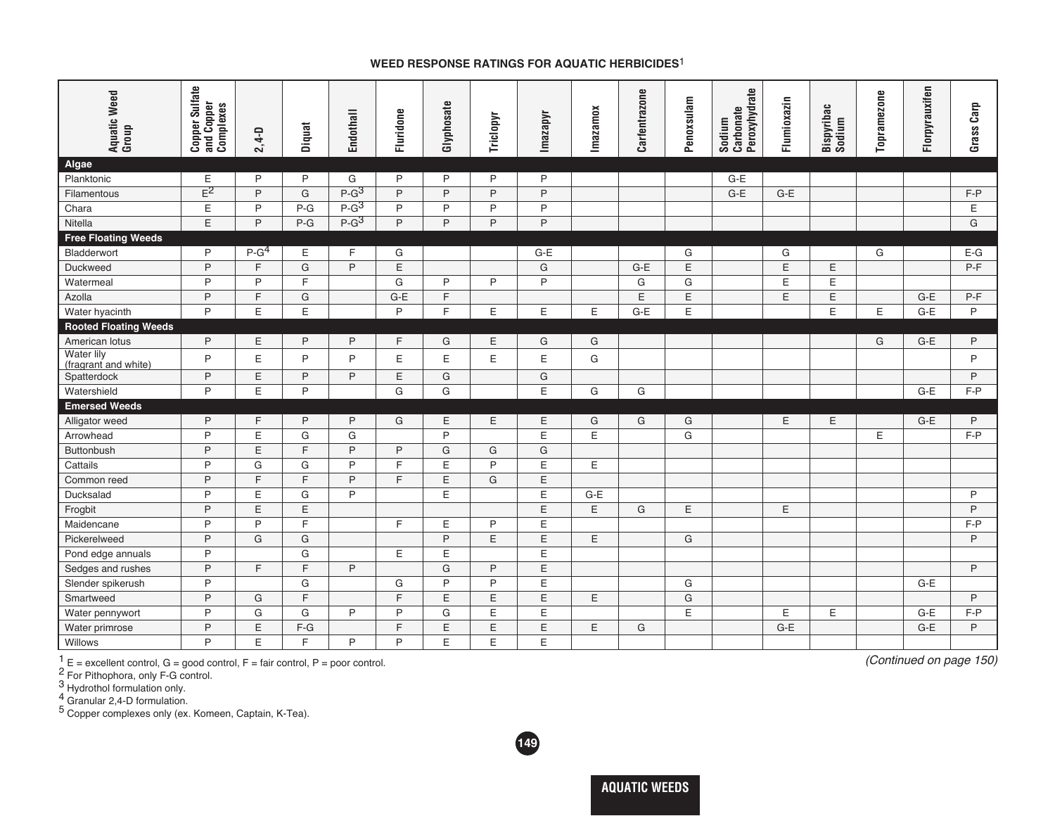## **WEED RESPONSE RATINGS FOR AQUATIC HERBICIDES**1

| Aquatic Weed<br>Group              | <b>Copper Sulfate</b><br>and Copper<br>Complexes |           | Diquat       | <b>Endothall</b> | Fluridone    | Glyphosate | Triclopyr    | Imazapyr     | Imazamox | Carfentrazone | Penoxsulam | Peroxyhydrate<br>Carbonate<br>Sodium | Flumioxazin | Bispyribac<br>Sodium | Topramezone | Florpyrauxifen | Grass Carp   |
|------------------------------------|--------------------------------------------------|-----------|--------------|------------------|--------------|------------|--------------|--------------|----------|---------------|------------|--------------------------------------|-------------|----------------------|-------------|----------------|--------------|
|                                    |                                                  | $2,4 - D$ |              |                  |              |            |              |              |          |               |            |                                      |             |                      |             |                |              |
| Algae                              |                                                  |           |              |                  |              |            |              |              |          |               |            |                                      |             |                      |             |                |              |
| Planktonic                         | E                                                | P         | P            | G                | P            | P          | P            | $\mathsf{P}$ |          |               |            | $G-E$                                |             |                      |             |                |              |
| Filamentous                        | $E^2$                                            | P         | G            | $P-G^3$          | P            | P          | $\mathsf{P}$ | $\mathsf{P}$ |          |               |            | $G-E$                                | $G-E$       |                      |             |                | $F - P$      |
| Chara                              | E                                                | P         | $P-G$        | $P-G^3$          | P            | P          | P            | P            |          |               |            |                                      |             |                      |             |                | Ε            |
| Nitella                            | E                                                | P         | $P-G$        | $P-G^3$          | P            | P          | P            | P            |          |               |            |                                      |             |                      |             |                | G            |
| <b>Free Floating Weeds</b>         |                                                  |           |              |                  |              |            |              |              |          |               |            |                                      |             |                      |             |                |              |
| Bladderwort                        | P                                                | $P-G4$    | Ε            | F                | G            |            |              | $G-E$        |          |               | G          |                                      | G           |                      | G           |                | $E-G$        |
| Duckweed                           | P                                                | F.        | G            | P                | Ε            |            |              | G            |          | $G-E$         | E          |                                      | E           | E                    |             |                | $P-F$        |
| Watermeal                          | P                                                | P         | E            |                  | G            | P          | P            | $\mathsf{P}$ |          | G             | G          |                                      | Ε           | Ε                    |             |                |              |
| Azolla                             | P                                                | E.        | G            |                  | $G-E$        | F.         |              |              |          | E             | Ε          |                                      | E           | Ε                    |             | $G-E$          | $P-F$        |
| Water hyacinth                     | P                                                | E         | Ε            |                  | P            | F.         | Ε            | Ε            | E        | $G-E$         | Ε          |                                      |             | E                    | E           | $G-E$          | P            |
| <b>Rooted Floating Weeds</b>       |                                                  |           |              |                  |              |            |              |              |          |               |            |                                      |             |                      |             |                |              |
| American lotus                     | P                                                | Ε         | P            | P                | F            | G          | Ε            | G            | G        |               |            |                                      |             |                      | G           | $G-E$          | $\mathsf{P}$ |
| Water lily<br>(fragrant and white) | P                                                | E         | P            | P                | Ε            | E          | E            | Ε            | G        |               |            |                                      |             |                      |             |                | P            |
| Spatterdock                        | P                                                | E         | $\mathsf{P}$ | P                | E            | G          |              | G            |          |               |            |                                      |             |                      |             |                | P            |
| Watershield                        | P                                                | E         | P            |                  | G            | G          |              | E            | G        | G             |            |                                      |             |                      |             | $G-E$          | $F - P$      |
| <b>Emersed Weeds</b>               |                                                  |           |              |                  |              |            |              |              |          |               |            |                                      |             |                      |             |                |              |
| Alligator weed                     | P                                                | F.        | P            | P                | G            | E          | E            | Ε            | G        | G             | G          |                                      | E           | E                    |             | $G-E$          | P            |
| Arrowhead                          | P                                                | E         | G            | G                |              | P          |              | $\mathsf E$  | E        |               | G          |                                      |             |                      | E           |                | $F - P$      |
| Buttonbush                         | P                                                | Ε         | E            | P                | P            | G          | G            | G            |          |               |            |                                      |             |                      |             |                |              |
| Cattails                           | P                                                | G         | G            | P                | E            | E          | P            | E            | E        |               |            |                                      |             |                      |             |                |              |
| Common reed                        | P                                                | F         | F            | P                | E            | E          | G            | $\mathsf E$  |          |               |            |                                      |             |                      |             |                |              |
| Ducksalad                          | P                                                | E         | G            | P                |              | E          |              | E            | $G-E$    |               |            |                                      |             |                      |             |                | P            |
| Frogbit                            | P                                                | E         | E            |                  |              |            |              | E            | E        | G             | E          |                                      | E           |                      |             |                | $\mathsf{P}$ |
| Maidencane                         | P                                                | P         | F            |                  | $\mathsf{F}$ | E          | P            | E            |          |               |            |                                      |             |                      |             |                | $F - P$      |
| Pickerelweed                       | P                                                | G         | G            |                  |              | P          | E            | E            | E        |               | G          |                                      |             |                      |             |                | P            |
| Pond edge annuals                  | P                                                |           | G            |                  | Ε            | E          |              | $\mathsf E$  |          |               |            |                                      |             |                      |             |                |              |
| Sedges and rushes                  | P                                                | F.        | E            | P                |              | G          | P            | $\mathsf E$  |          |               |            |                                      |             |                      |             |                | P            |
| Slender spikerush                  | P                                                |           | G            |                  | G            | P          | $\mathsf{P}$ | $\mathsf E$  |          |               | G          |                                      |             |                      |             | $G-E$          |              |
| Smartweed                          | P                                                | G         | E            |                  | E            | E.         | E            | E            | E        |               | G          |                                      |             |                      |             |                | P            |
| Water pennywort                    | P                                                | G         | G            | P                | P            | G          | E            | Ε            |          |               | E          |                                      | Ε           | Ε                    |             | $G-E$          | $F-P$        |
| Water primrose                     | P                                                | E         | $F-G$        |                  | E            | E          | E            | E            | E        | G             |            |                                      | $G-E$       |                      |             | $G-E$          | $\mathsf{P}$ |
| Willows                            | P                                                | E         | E            | P                | P            | E          | E            | E            |          |               |            |                                      |             |                      |             |                |              |

 $\frac{1}{2}$  E = excellent control, G = good control, F = fair control, P = poor control.

<sup>2</sup> For Pithophora, only F-G control.

3 Hydrothol formulation only.

4 Granular 2,4-D formulation.

5 Copper complexes only (ex. Komeen, Captain, K-Tea).



*(Continued on page 150)*

**AQUATIC WEEDS**